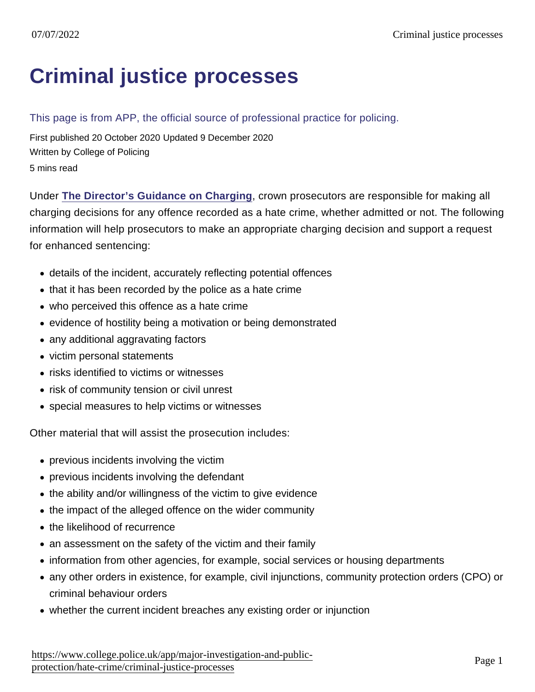# [Criminal justice processes](https://www.college.police.uk/app/major-investigation-and-public-protection/hate-crime/criminal-justice-processes)

#### This page is from APP, the official source of professional practice for policing.

First published 20 October 2020 Updated 9 December 2020 Written by College of Policing 5 mins read

Under [The Director's Guidance on Charging](https://www.cps.gov.uk/legal-guidance/charging-directors-guidance-2013-fifth-edition-may-2013-revised-arrangements) , crown prosecutors are responsible for making all charging decisions for any offence recorded as a hate crime, whether admitted or not. The following information will help prosecutors to make an appropriate charging decision and support a request for enhanced sentencing:

- details of the incident, accurately reflecting potential offences
- that it has been recorded by the police as a hate crime
- who perceived this offence as a hate crime
- evidence of hostility being a motivation or being demonstrated
- any additional aggravating factors
- victim personal statements
- risks identified to victims or witnesses
- risk of community tension or civil unrest
- special measures to help victims or witnesses

Other material that will assist the prosecution includes:

- previous incidents involving the victim
- previous incidents involving the defendant
- the ability and/or willingness of the victim to give evidence
- the impact of the alleged offence on the wider community
- the likelihood of recurrence
- an assessment on the safety of the victim and their family
- information from other agencies, for example, social services or housing departments
- any other orders in existence, for example, civil injunctions, community protection orders (CPO) or criminal behaviour orders
- whether the current incident breaches any existing order or injunction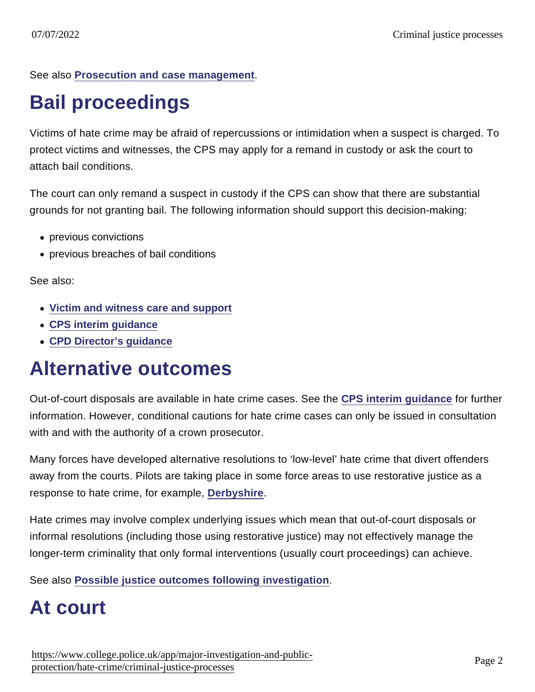See also [Prosecution and case management](https://www.app.college.police.uk/app-content/prosecution-and-case-management/?s=) .

# Bail proceedings

Victims of hate crime may be afraid of repercussions or intimidation when a suspect is charged. To protect victims and witnesses, the CPS may apply for a remand in custody or ask the court to attach bail conditions.

The court can only remand a suspect in custody if the CPS can show that there are substantial grounds for not granting bail. The following information should support this decision-making:

- previous convictions
- previous breaches of bail conditions

See also:

- [Victim and witness care and support](https://editor.app.college.pnn.police.uk/app-content/major-investigation-and-public-protection/hate-crime/victim-and-witness-care-and-support/)
- [CPS interim guidance](https://www.cps.gov.uk/legal-guidance/cautioning-and-diversion)
- [CPD Director's guidance](https://www.cps.gov.uk/legal-guidance/charging-directors-guidance-2013-fifth-edition-may-2013-revised-arrangements)

### Alternative outcomes

Out-of-court disposals are available in hate crime cases. See the [CPS interim guidance](https://www.cps.gov.uk/legal-guidance/cautioning-and-diversion) for further information. However, conditional cautions for hate crime cases can only be issued in consultation with and with the authority of a crown prosecutor.

Many forces have developed alternative resolutions to 'low-level' hate crime that divert offenders away from the courts. Pilots are taking place in some force areas to use restorative justice as a response to hate crime, for example, [Derbyshire](https://restorativejustice.org.uk/news/campaign-launched-tackle-hate-crime-derbyshire) .

Hate crimes may involve complex underlying issues which mean that out-of-court disposals or informal resolutions (including those using restorative justice) may not effectively manage the longer-term criminality that only formal interventions (usually court proceedings) can achieve.

See also [Possible justice outcomes following investigation](https://www.app.college.police.uk/app-content/prosecution-and-case-management/justice-outcomes/)

# At court